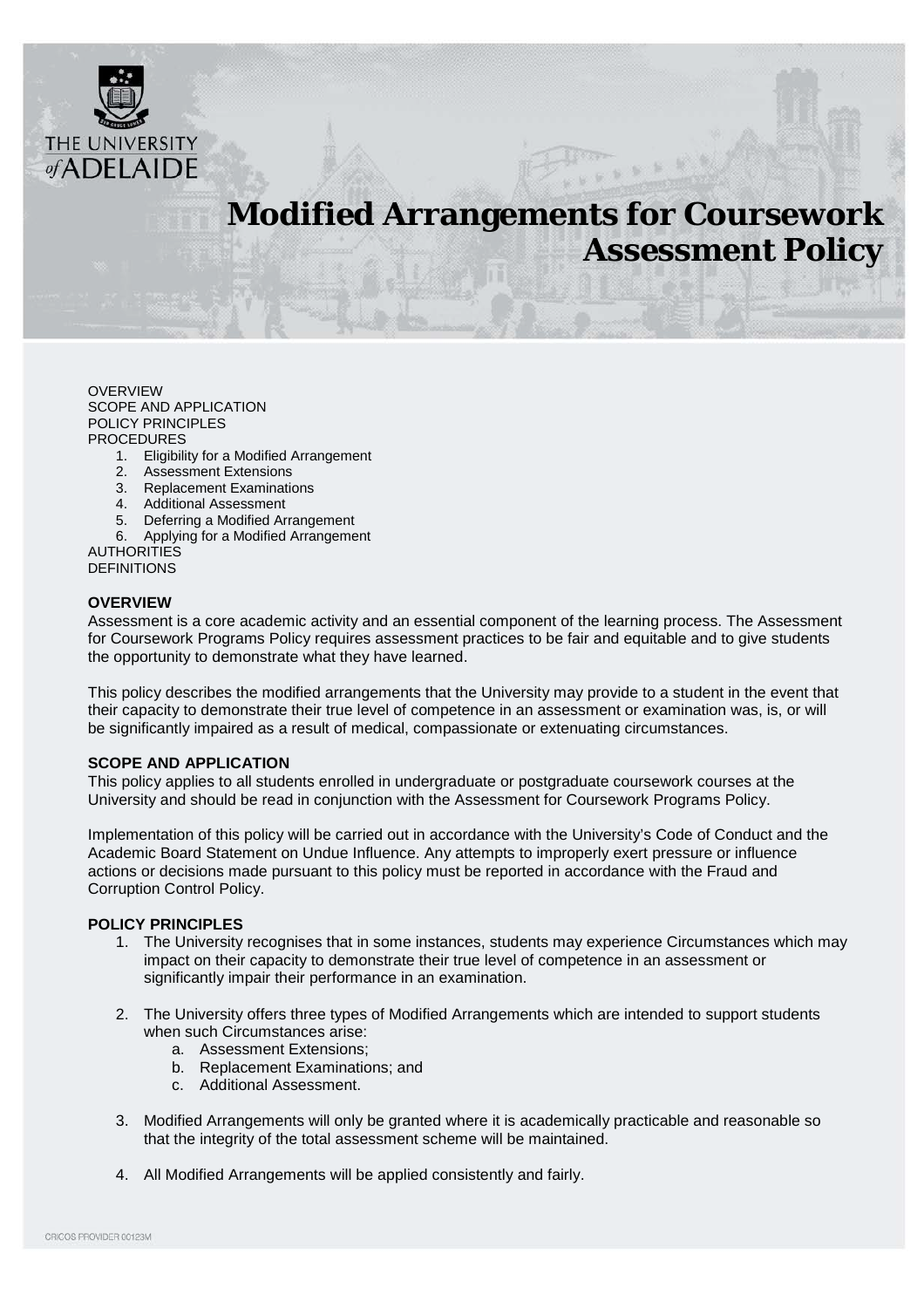

# **Modified Arrangements for Coursework Assessment Policy**

[OVERVIEW](#page-0-0) [SCOPE AND APPLICATION](#page-0-1) [POLICY PRINCIPLES](#page-0-2) [PROCEDURES](#page-1-0)

- 1. Eligibility for a Modified Arrangement
- 2. Assessment Extensions
- 3. Replacement Examinations
- 4. Additional Assessment
- 5. Deferring a Modified Arrangement
- 6. Applying for a Modified Arrangement

**[AUTHORITIES](#page-6-0)** [DEFINITIONS](#page-6-0)

#### <span id="page-0-0"></span>**OVERVIEW**

Assessment is a core academic activity and an essential component of the learning process. The Assessment for Coursework Programs Policy requires assessment practices to be fair and equitable and to give students the opportunity to demonstrate what they have learned.

This policy describes the modified arrangements that the University may provide to a student in the event that their capacity to demonstrate their true level of competence in an assessment or examination was, is, or will be significantly impaired as a result of medical, compassionate or extenuating circumstances.

#### <span id="page-0-1"></span>**SCOPE AND APPLICATION**

This policy applies to all students enrolled in undergraduate or postgraduate coursework courses at the University and should be read in conjunction with the Assessment for Coursework Programs Policy.

Implementation of this policy will be carried out in accordance with the University's Code of Conduct and the Academic Board Statement on Undue Influence. Any attempts to improperly exert pressure or influence actions or decisions made pursuant to this policy must be reported in accordance with the Fraud and Corruption Control Policy.

#### <span id="page-0-2"></span>**POLICY PRINCIPLES**

- 1. The University recognises that in some instances, students may experience Circumstances which may impact on their capacity to demonstrate their true level of competence in an assessment or significantly impair their performance in an examination.
- 2. The University offers three types of Modified Arrangements which are intended to support students when such Circumstances arise:
	- a. Assessment Extensions;
	- b. Replacement Examinations; and
	- c. Additional Assessment.
- 3. Modified Arrangements will only be granted where it is academically practicable and reasonable so that the integrity of the total assessment scheme will be maintained.
- 4. All Modified Arrangements will be applied consistently and fairly.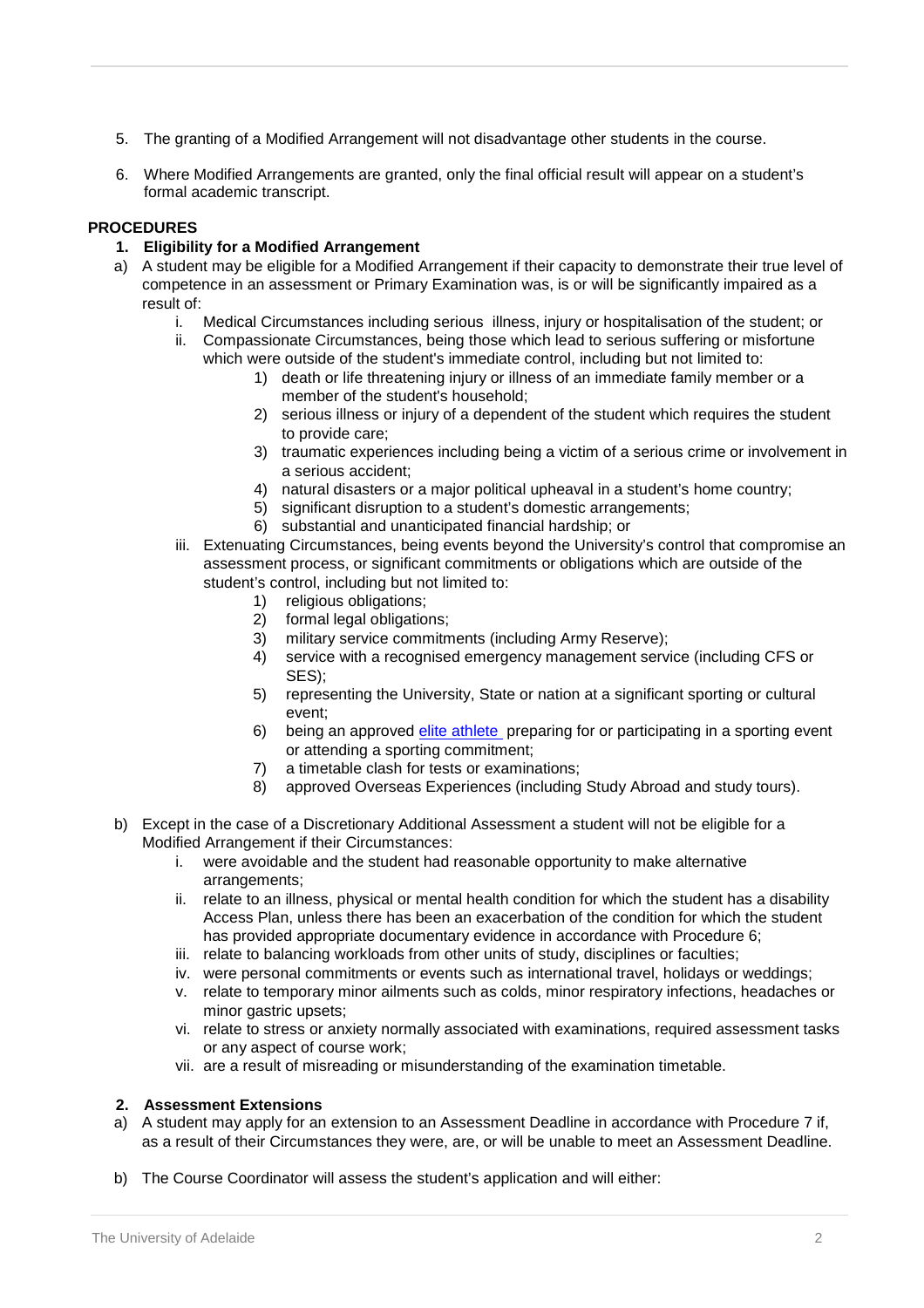- 5. The granting of a Modified Arrangement will not disadvantage other students in the course.
- 6. Where Modified Arrangements are granted, only the final official result will appear on a student's formal academic transcript.

# <span id="page-1-0"></span>**PROCEDURES**

## **1. Eligibility for a Modified Arrangement**

- a) A student may be eligible for a Modified Arrangement if their capacity to demonstrate their true level of competence in an assessment or Primary Examination was, is or will be significantly impaired as a result of:
	- i. Medical Circumstances including serious illness, injury or hospitalisation of the student; or
	- ii. Compassionate Circumstances, being those which lead to serious suffering or misfortune which were outside of the student's immediate control, including but not limited to:
		- 1) death or life threatening injury or illness of an immediate family member or a member of the student's household;
		- 2) serious illness or injury of a dependent of the student which requires the student to provide care;
		- 3) traumatic experiences including being a victim of a serious crime or involvement in a serious accident;
		- 4) natural disasters or a major political upheaval in a student's home country;
		- 5) significant disruption to a student's domestic arrangements;
		- 6) substantial and unanticipated financial hardship; or
	- iii. Extenuating Circumstances, being events beyond the University's control that compromise an assessment process, or significant commitments or obligations which are outside of the student's control, including but not limited to:
		- 1) religious obligations;
		- 2) formal legal obligations;
		- 3) military service commitments (including Army Reserve);
		- 4) service with a recognised emergency management service (including CFS or SES);
		- 5) representing the University, State or nation at a significant sporting or cultural event;
		- 6) being an approved [elite athlete](https://www.adelaide.edu.au/eliteathletes/) preparing for or participating in a sporting event or attending a sporting commitment;
		- 7) a timetable clash for tests or examinations;
		- 8) approved Overseas Experiences (including Study Abroad and study tours).
- b) Except in the case of a Discretionary Additional Assessment a student will not be eligible for a Modified Arrangement if their Circumstances:
	- i. were avoidable and the student had reasonable opportunity to make alternative arrangements;
	- ii. relate to an illness, physical or mental health condition for which the student has a disability Access Plan, unless there has been an exacerbation of the condition for which the student has provided appropriate documentary evidence in accordance with Procedure 6;
	- iii. relate to balancing workloads from other units of study, disciplines or faculties;
	- iv. were personal commitments or events such as international travel, holidays or weddings;
	- v. relate to temporary minor ailments such as colds, minor respiratory infections, headaches or minor gastric upsets;
	- vi. relate to stress or anxiety normally associated with examinations, required assessment tasks or any aspect of course work;
	- vii. are a result of misreading or misunderstanding of the examination timetable.

## **2. Assessment Extensions**

- a) A student may apply for an extension to an Assessment Deadline in accordance with Procedure 7 if, as a result of their Circumstances they were, are, or will be unable to meet an Assessment Deadline.
- b) The Course Coordinator will assess the student's application and will either: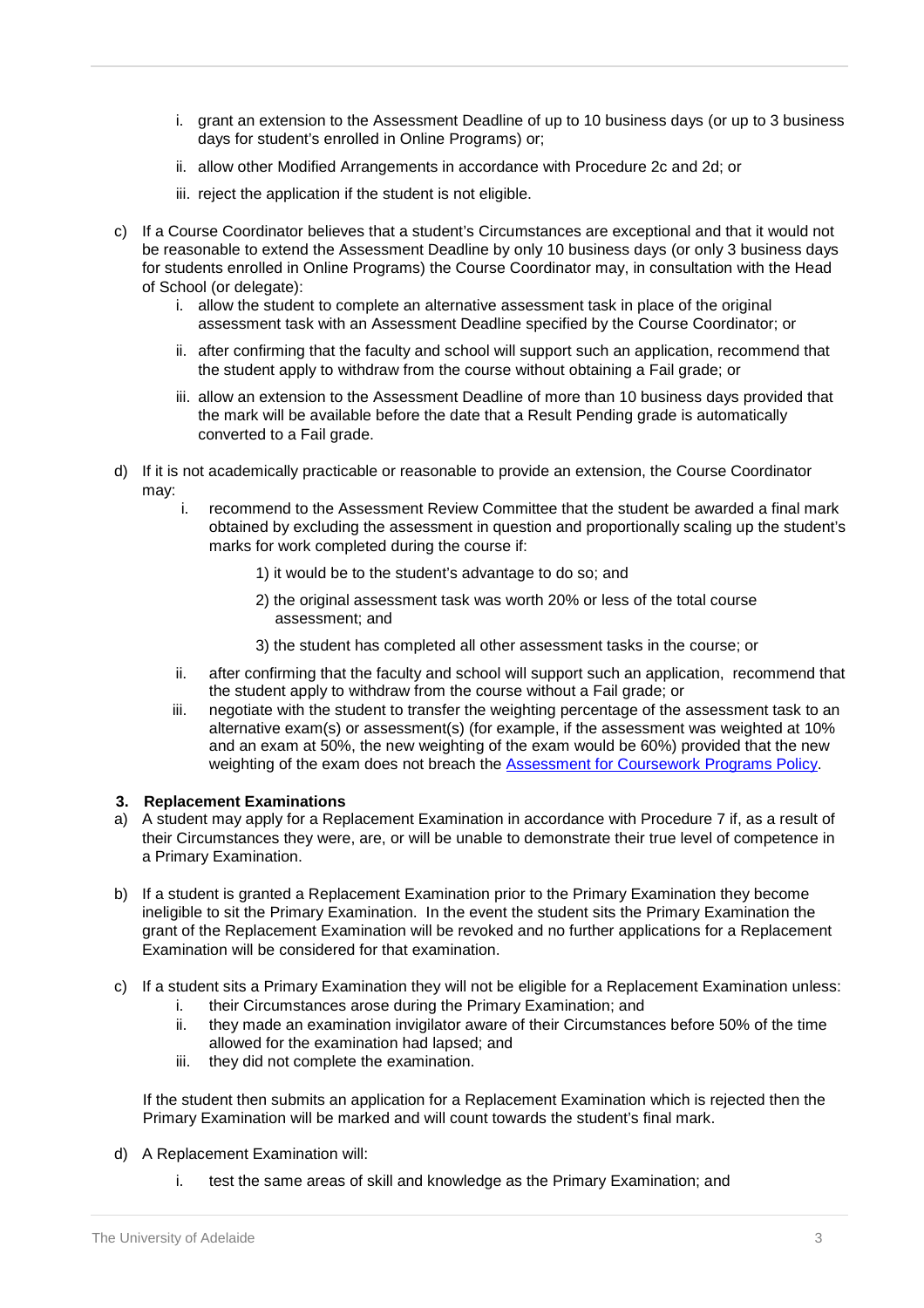- i. grant an extension to the Assessment Deadline of up to 10 business days (or up to 3 business days for student's enrolled in Online Programs) or;
- ii. allow other Modified Arrangements in accordance with Procedure 2c and 2d; or
- iii. reject the application if the student is not eligible.
- c) If a Course Coordinator believes that a student's Circumstances are exceptional and that it would not be reasonable to extend the Assessment Deadline by only 10 business days (or only 3 business days for students enrolled in Online Programs) the Course Coordinator may, in consultation with the Head of School (or delegate):
	- i. allow the student to complete an alternative assessment task in place of the original assessment task with an Assessment Deadline specified by the Course Coordinator; or
	- ii. after confirming that the faculty and school will support such an application, recommend that the student apply to withdraw from the course without obtaining a Fail grade; or
	- iii. allow an extension to the Assessment Deadline of more than 10 business days provided that the mark will be available before the date that a Result Pending grade is automatically converted to a Fail grade.
- d) If it is not academically practicable or reasonable to provide an extension, the Course Coordinator may:
	- i. recommend to the Assessment Review Committee that the student be awarded a final mark obtained by excluding the assessment in question and proportionally scaling up the student's marks for work completed during the course if:
		- 1) it would be to the student's advantage to do so; and
		- 2) the original assessment task was worth 20% or less of the total course assessment; and
		- 3) the student has completed all other assessment tasks in the course; or
	- ii. after confirming that the faculty and school will support such an application, recommend that the student apply to withdraw from the course without a Fail grade; or
	- iii. negotiate with the student to transfer the weighting percentage of the assessment task to an alternative exam(s) or assessment(s) (for example, if the assessment was weighted at 10% and an exam at 50%, the new weighting of the exam would be 60%) provided that the new weighting of the exam does not breach the [Assessment for Coursework Programs Policy.](http://www.adelaide.edu.au/policies/700/)

## **3. Replacement Examinations**

- a) A student may apply for a Replacement Examination in accordance with Procedure 7 if, as a result of their Circumstances they were, are, or will be unable to demonstrate their true level of competence in a Primary Examination.
- b) If a student is granted a Replacement Examination prior to the Primary Examination they become ineligible to sit the Primary Examination. In the event the student sits the Primary Examination the grant of the Replacement Examination will be revoked and no further applications for a Replacement Examination will be considered for that examination.
- c) If a student sits a Primary Examination they will not be eligible for a Replacement Examination unless:
	- i. their Circumstances arose during the Primary Examination; and
	- ii. they made an examination invigilator aware of their Circumstances before 50% of the time allowed for the examination had lapsed; and
	- iii. they did not complete the examination.

If the student then submits an application for a Replacement Examination which is rejected then the Primary Examination will be marked and will count towards the student's final mark.

- d) A Replacement Examination will:
	- i. test the same areas of skill and knowledge as the Primary Examination; and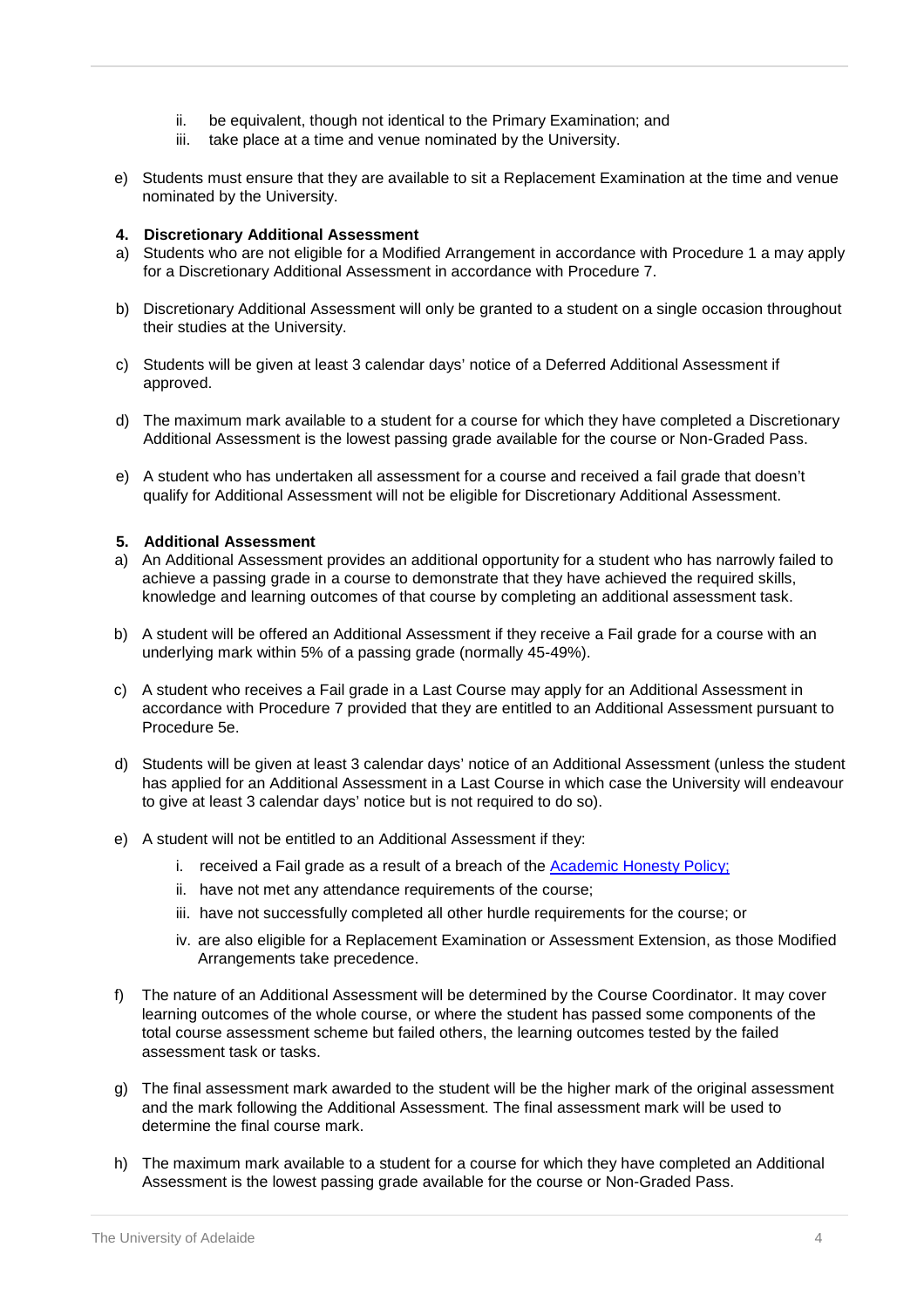- ii. be equivalent, though not identical to the Primary Examination; and
- iii. take place at a time and venue nominated by the University.
- e) Students must ensure that they are available to sit a Replacement Examination at the time and venue nominated by the University.

### **4. Discretionary Additional Assessment**

- a) Students who are not eligible for a Modified Arrangement in accordance with Procedure 1 a may apply for a Discretionary Additional Assessment in accordance with Procedure 7.
- b) Discretionary Additional Assessment will only be granted to a student on a single occasion throughout their studies at the University.
- c) Students will be given at least 3 calendar days' notice of a Deferred Additional Assessment if approved.
- d) The maximum mark available to a student for a course for which they have completed a Discretionary Additional Assessment is the lowest passing grade available for the course or Non-Graded Pass.
- e) A student who has undertaken all assessment for a course and received a fail grade that doesn't qualify for Additional Assessment will not be eligible for Discretionary Additional Assessment.

#### **5. Additional Assessment**

- a) An Additional Assessment provides an additional opportunity for a student who has narrowly failed to achieve a passing grade in a course to demonstrate that they have achieved the required skills, knowledge and learning outcomes of that course by completing an additional assessment task.
- b) A student will be offered an Additional Assessment if they receive a Fail grade for a course with an underlying mark within 5% of a passing grade (normally 45-49%).
- c) A student who receives a Fail grade in a Last Course may apply for an Additional Assessment in accordance with Procedure 7 provided that they are entitled to an Additional Assessment pursuant to Procedure 5e.
- d) Students will be given at least 3 calendar days' notice of an Additional Assessment (unless the student has applied for an Additional Assessment in a Last Course in which case the University will endeavour to give at least 3 calendar days' notice but is not required to do so).
- e) A student will not be entitled to an Additional Assessment if they:
	- i. received a Fail grade as a result of a breach of the Academic Honesty Policy;
	- ii. have not met any attendance requirements of the course;
	- iii. have not successfully completed all other hurdle requirements for the course; or
	- iv. are also eligible for a Replacement Examination or Assessment Extension, as those Modified Arrangements take precedence.
- f) The nature of an Additional Assessment will be determined by the Course Coordinator. It may cover learning outcomes of the whole course, or where the student has passed some components of the total course assessment scheme but failed others, the learning outcomes tested by the failed assessment task or tasks.
- g) The final assessment mark awarded to the student will be the higher mark of the original assessment and the mark following the Additional Assessment. The final assessment mark will be used to determine the final course mark.
- h) The maximum mark available to a student for a course for which they have completed an Additional Assessment is the lowest passing grade available for the course or Non-Graded Pass.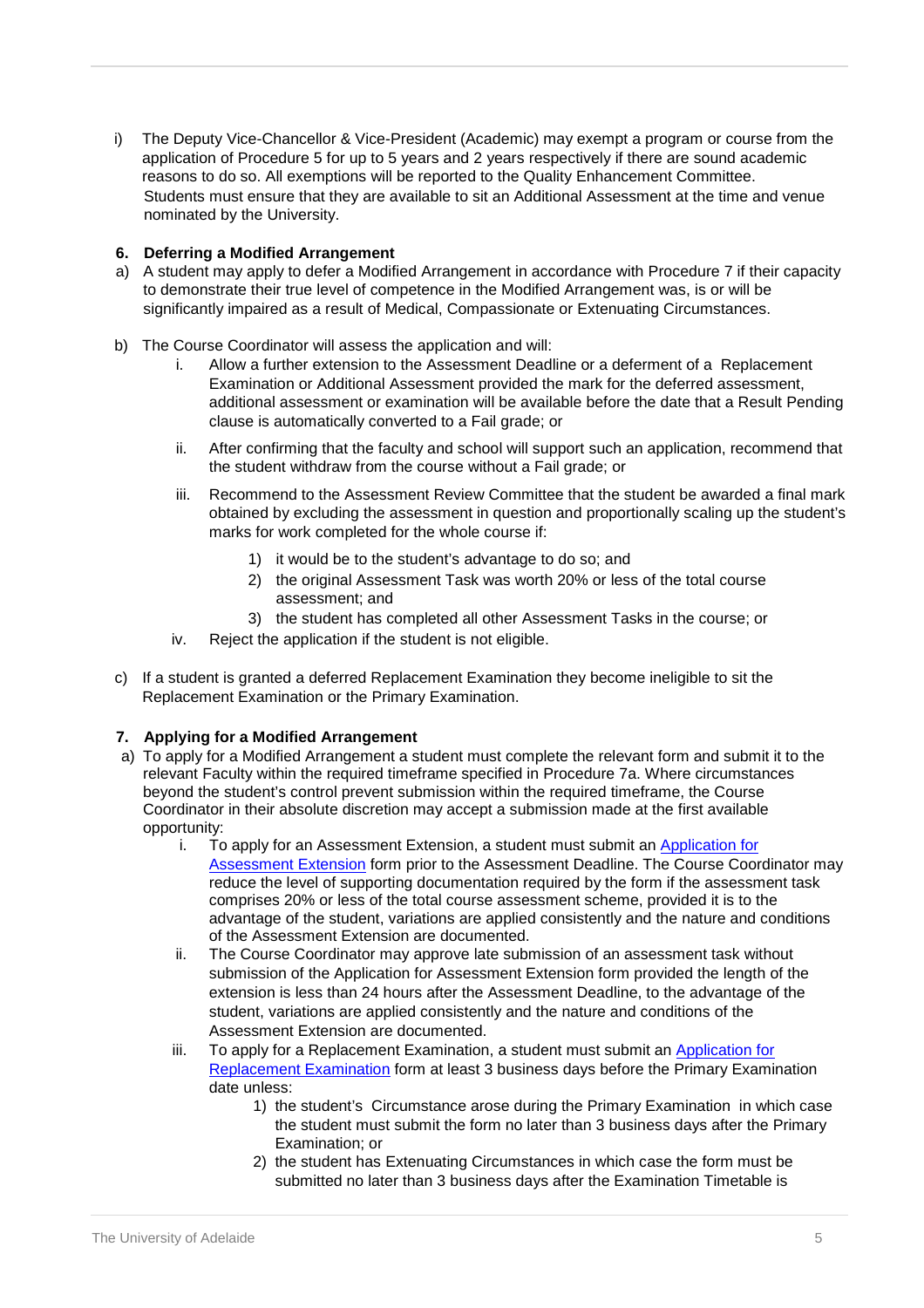i) The Deputy Vice-Chancellor & Vice-President (Academic) may exempt a program or course from the application of Procedure 5 for up to 5 years and 2 years respectively if there are sound academic reasons to do so. All exemptions will be reported to the Quality Enhancement Committee. Students must ensure that they are available to sit an Additional Assessment at the time and venue nominated by the University.

# **6. Deferring a Modified Arrangement**

- a) A student may apply to defer a Modified Arrangement in accordance with Procedure 7 if their capacity to demonstrate their true level of competence in the Modified Arrangement was, is or will be significantly impaired as a result of Medical, Compassionate or Extenuating Circumstances.
- b) The Course Coordinator will assess the application and will:
	- i. Allow a further extension to the Assessment Deadline or a deferment of a Replacement Examination or Additional Assessment provided the mark for the deferred assessment, additional assessment or examination will be available before the date that a Result Pending clause is automatically converted to a Fail grade; or
	- ii. After confirming that the faculty and school will support such an application, recommend that the student withdraw from the course without a Fail grade; or
	- iii. Recommend to the Assessment Review Committee that the student be awarded a final mark obtained by excluding the assessment in question and proportionally scaling up the student's marks for work completed for the whole course if:
		- 1) it would be to the student's advantage to do so; and
		- 2) the original Assessment Task was worth 20% or less of the total course assessment; and
		- 3) the student has completed all other Assessment Tasks in the course; or
	- iv. Reject the application if the student is not eligible.
- c) If a student is granted a deferred Replacement Examination they become ineligible to sit the Replacement Examination or the Primary Examination.

# **7. Applying for a Modified Arrangement**

- a) To apply for a Modified Arrangement a student must complete the relevant form and submit it to the relevant Faculty within the required timeframe specified in Procedure 7a. Where circumstances beyond the student's control prevent submission within the required timeframe, the Course Coordinator in their absolute discretion may accept a submission made at the first available opportunity:
	- i. To apply for an Assessment Extension, a student must submit an [Application for](https://www.adelaide.edu.au/policies/3303/?dsn=policy.document;field=data;id=7446;m=view) [Assessment Extension](https://www.adelaide.edu.au/policies/3303/?dsn=policy.document;field=data;id=7446;m=view) [f](https://www.adelaide.edu.au/policies/3303/?dsn=policy.document;field=data;id=7446;m=view)orm prior to the Assessment Deadline. The Course Coordinator may reduce the level of supporting documentation required by the form if the assessment task comprises 20% or less of the total course assessment scheme, provided it is to the advantage of the student, variations are applied consistently and the nature and conditions of the Assessment Extension are documented.
	- ii. The Course Coordinator may approve late submission of an assessment task without submission of the Application for Assessment Extension form provided the length of the extension is less than 24 hours after the Assessment Deadline, to the advantage of the student, variations are applied consistently and the nature and conditions of the Assessment Extension are documented.
	- iii. To apply for a Replacement Examination, a student must submit an [Application for](https://www.adelaide.edu.au/policies/3303/?dsn=policy.document;field=data;id=7905;m=view)  [Replacement Examination](https://www.adelaide.edu.au/policies/3303/?dsn=policy.document;field=data;id=7905;m=view) [fo](https://www.adelaide.edu.au/policies/3303/?dsn=policy.document;field=data;id=7905;m=view)rm at least 3 business days before the Primary Examination date unless:
		- 1) the student's Circumstance arose during the Primary Examination in which case the student must submit the form no later than 3 business days after the Primary Examination; or
		- 2) the student has Extenuating Circumstances in which case the form must be submitted no later than 3 business days after the Examination Timetable is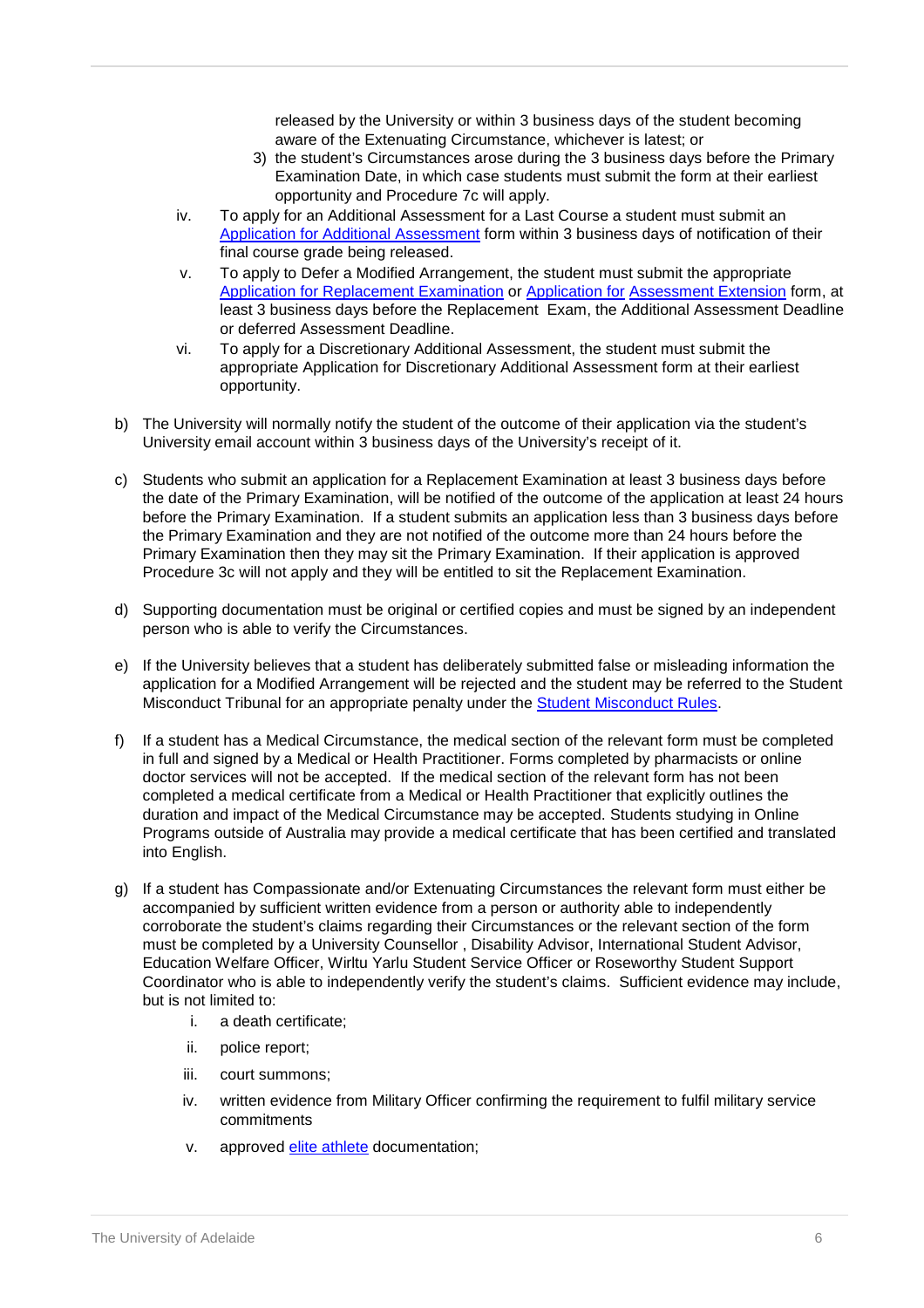released by the University or within 3 business days of the student becoming aware of the Extenuating Circumstance, whichever is latest; or

- 3) the student's Circumstances arose during the 3 business days before the Primary Examination Date, in which case students must submit the form at their earliest opportunity and Procedure 7c will apply.
- iv. To apply for an Additional Assessment for a Last Course a student must submit an [Application for Additional Assessment](https://www.adelaide.edu.au/policies/3303/?dsn=policy.document;field=data;id=7445;m=view) [f](https://www.adelaide.edu.au/policies/3303/?dsn=policy.document;field=data;id=7445;m=view)orm within 3 business days of notification of their final course grade being released.
- v. To apply to Defer a Modified Arrangement, the student must submit the appropriate [Application for Replacement Examination](https://www.adelaide.edu.au/policies/3303/?dsn=policy.document;field=data;id=7905;m=view) [o](https://www.adelaide.edu.au/policies/3303/?dsn=policy.document;field=data;id=7905;m=view)r [Application for](https://www.adelaide.edu.au/policies/3303/?dsn=policy.document;field=data;id=7446;m=view) [Assessment Extension](https://www.adelaide.edu.au/policies/3303/?dsn=policy.document;field=data;id=7446;m=view) form, at least 3 business days before the Replacement Exam, the Additional Assessment Deadline or deferred Assessment Deadline.
- vi. To apply for a Discretionary Additional Assessment, the student must submit the appropriate Application for Discretionary Additional Assessment form at their earliest opportunity.
- b) The University will normally notify the student of the outcome of their application via the student's University email account within 3 business days of the University's receipt of it.
- c) Students who submit an application for a Replacement Examination at least 3 business days before the date of the Primary Examination, will be notified of the outcome of the application at least 24 hours before the Primary Examination. If a student submits an application less than 3 business days before the Primary Examination and they are not notified of the outcome more than 24 hours before the Primary Examination then they may sit the Primary Examination. If their application is approved Procedure 3c will not apply and they will be entitled to sit the Replacement Examination.
- d) Supporting documentation must be original or certified copies and must be signed by an independent person who is able to verify the Circumstances.
- e) If the University believes that a student has deliberately submitted false or misleading information the application for a Modified Arrangement will be rejected and the student may be referred to the Student Misconduct Tribunal for an appropriate penalty under the [Student Misconduct Rules.](http://www.adelaide.edu.au/policies/33/?dsn=policy.document;field=data;id=50;m=view)
- f) If a student has a Medical Circumstance, the medical section of the relevant form must be completed in full and signed by a Medical or Health Practitioner. Forms completed by pharmacists or online doctor services will not be accepted. If the medical section of the relevant form has not been completed a medical certificate from a Medical or Health Practitioner that explicitly outlines the duration and impact of the Medical Circumstance may be accepted. Students studying in Online Programs outside of Australia may provide a medical certificate that has been certified and translated into English.
- g) If a student has Compassionate and/or Extenuating Circumstances the relevant form must either be accompanied by sufficient written evidence from a person or authority able to independently corroborate the student's claims regarding their Circumstances or the relevant section of the form must be completed by a University Counsellor , Disability Advisor, International Student Advisor, Education Welfare Officer, Wirltu Yarlu Student Service Officer or Roseworthy Student Support Coordinator who is able to independently verify the student's claims. Sufficient evidence may include, but is not limited to:
	- i. a death certificate;
	- ii. police report;
	- iii. court summons;
	- iv. written evidence from Military Officer confirming the requirement to fulfil military service commitments
	- v. approved elite athlete documentation;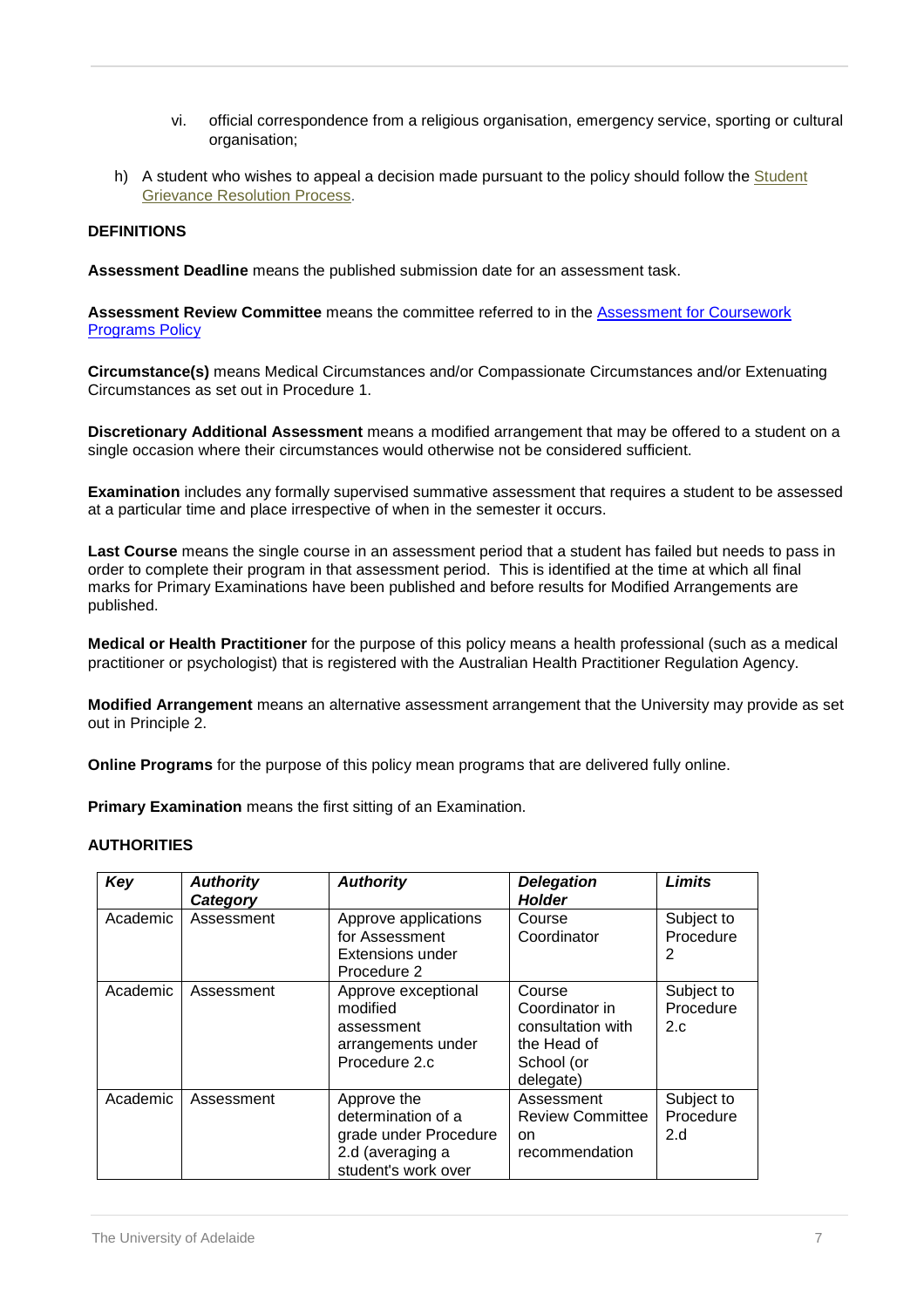- vi. official correspondence from a religious organisation, emergency service, sporting or cultural organisation;
- h) A student who wishes to appeal a decision made pursuant to the policy should follow the Student [Grievance Resolution Process.](http://www.adelaide.edu.au/student/grievance/)

## <span id="page-6-0"></span>**DEFINITIONS**

**Assessment Deadline** means the published submission date for an assessment task.

**Assessment Review Committee** means the committee referred to in the [Assessment for Coursework](http://www.adelaide.edu.au/policies/700/) **[Programs Policy](http://www.adelaide.edu.au/policies/700/)** 

**Circumstance(s)** means Medical Circumstances and/or Compassionate Circumstances and/or Extenuating Circumstances as set out in Procedure 1.

**Discretionary Additional Assessment** means a modified arrangement that may be offered to a student on a single occasion where their circumstances would otherwise not be considered sufficient.

**Examination** includes any formally supervised summative assessment that requires a student to be assessed at a particular time and place irrespective of when in the semester it occurs.

**Last Course** means the single course in an assessment period that a student has failed but needs to pass in order to complete their program in that assessment period. This is identified at the time at which all final marks for Primary Examinations have been published and before results for Modified Arrangements are published.

**Medical or Health Practitioner** for the purpose of this policy means a health professional (such as a medical practitioner or psychologist) that is registered with the Australian Health Practitioner Regulation Agency.

**Modified Arrangement** means an alternative assessment arrangement that the University may provide as set out in Principle 2.

**Online Programs** for the purpose of this policy mean programs that are delivered fully online.

**Primary Examination** means the first sitting of an Examination.

### **AUTHORITIES**

| Key      | <b>Authority</b><br>Category | <b>Authority</b>                                                                                      | <b>Delegation</b><br><b>Holder</b>                                                      | <b>Limits</b>                   |
|----------|------------------------------|-------------------------------------------------------------------------------------------------------|-----------------------------------------------------------------------------------------|---------------------------------|
| Academic | Assessment                   | Approve applications<br>for Assessment<br>Extensions under<br>Procedure 2                             | Course<br>Coordinator                                                                   | Subject to<br>Procedure<br>2    |
| Academic | Assessment                   | Approve exceptional<br>modified<br>assessment<br>arrangements under<br>Procedure 2.c                  | Course<br>Coordinator in<br>consultation with<br>the Head of<br>School (or<br>delegate) | Subject to<br>Procedure<br>2.c. |
| Academic | Assessment                   | Approve the<br>determination of a<br>grade under Procedure<br>2.d (averaging a<br>student's work over | Assessment<br><b>Review Committee</b><br>on.<br>recommendation                          | Subject to<br>Procedure<br>2.d  |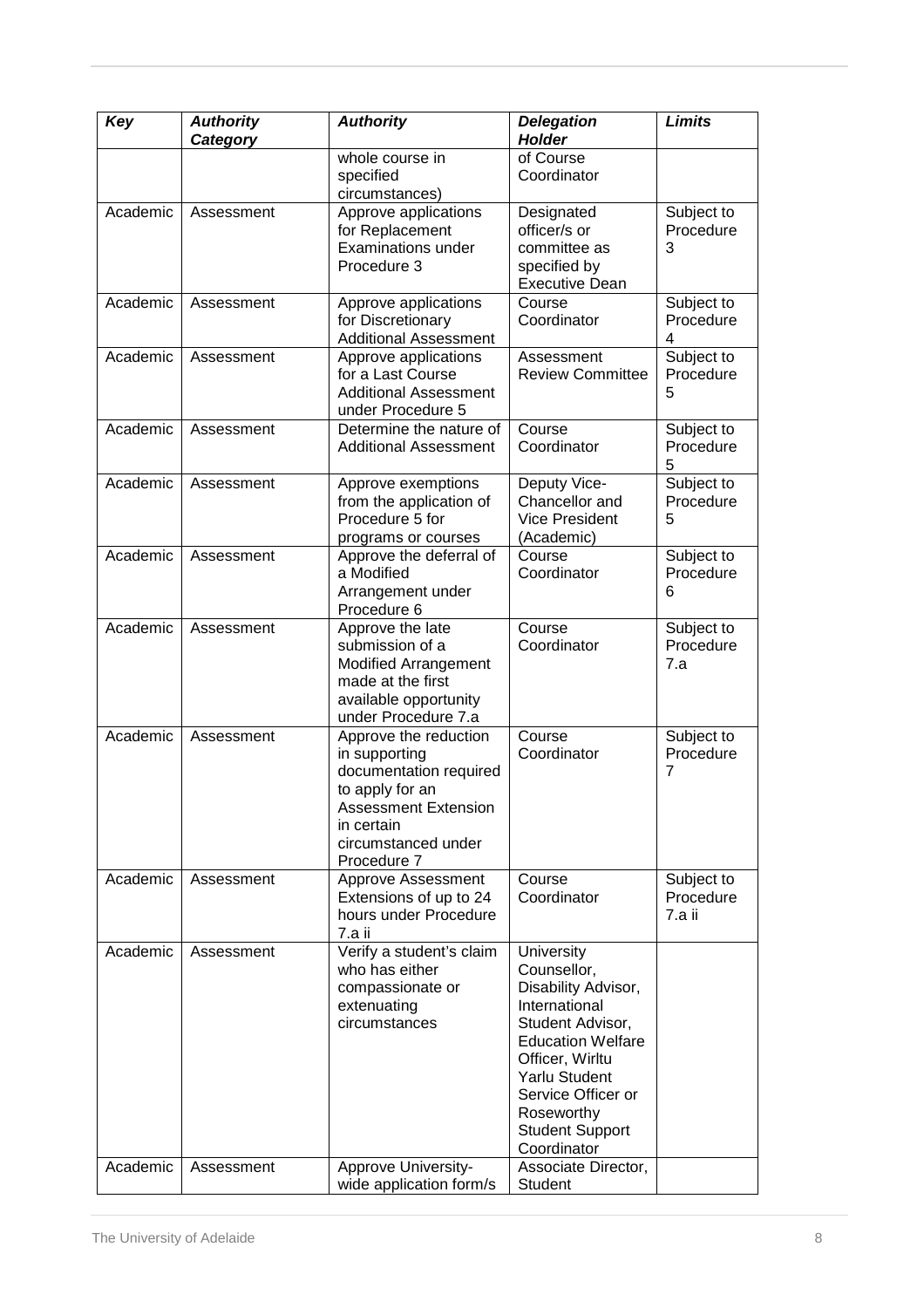| Key      | <b>Authority</b><br>Category | <b>Authority</b>                                                                                                                                                       | <b>Delegation</b><br>Holder                                                                                                                                                                                                                      | <b>Limits</b>                     |
|----------|------------------------------|------------------------------------------------------------------------------------------------------------------------------------------------------------------------|--------------------------------------------------------------------------------------------------------------------------------------------------------------------------------------------------------------------------------------------------|-----------------------------------|
|          |                              | whole course in<br>specified<br>circumstances)                                                                                                                         | of Course<br>Coordinator                                                                                                                                                                                                                         |                                   |
| Academic | Assessment                   | Approve applications<br>for Replacement<br><b>Examinations under</b><br>Procedure 3                                                                                    | Designated<br>officer/s or<br>committee as<br>specified by<br><b>Executive Dean</b>                                                                                                                                                              | Subject to<br>Procedure<br>3      |
| Academic | Assessment                   | Approve applications<br>for Discretionary<br><b>Additional Assessment</b>                                                                                              | Course<br>Coordinator                                                                                                                                                                                                                            | Subject to<br>Procedure<br>4      |
| Academic | Assessment                   | Approve applications<br>for a Last Course<br><b>Additional Assessment</b><br>under Procedure 5                                                                         | Assessment<br><b>Review Committee</b>                                                                                                                                                                                                            | Subject to<br>Procedure<br>5      |
| Academic | Assessment                   | Determine the nature of<br><b>Additional Assessment</b>                                                                                                                | Course<br>Coordinator                                                                                                                                                                                                                            | Subject to<br>Procedure<br>5      |
| Academic | Assessment                   | Approve exemptions<br>from the application of<br>Procedure 5 for<br>programs or courses                                                                                | Deputy Vice-<br>Chancellor and<br><b>Vice President</b><br>(Academic)                                                                                                                                                                            | Subject to<br>Procedure<br>5      |
| Academic | Assessment                   | Approve the deferral of<br>a Modified<br>Arrangement under<br>Procedure 6                                                                                              | Course<br>Coordinator                                                                                                                                                                                                                            | Subject to<br>Procedure<br>6      |
| Academic | Assessment                   | Approve the late<br>submission of a<br><b>Modified Arrangement</b><br>made at the first<br>available opportunity<br>under Procedure 7.a                                | Course<br>Coordinator                                                                                                                                                                                                                            | Subject to<br>Procedure<br>7.a    |
| Academic | Assessment                   | Approve the reduction<br>in supporting<br>documentation required<br>to apply for an<br><b>Assessment Extension</b><br>in certain<br>circumstanced under<br>Procedure 7 | Course<br>Coordinator                                                                                                                                                                                                                            | Subject to<br>Procedure<br>7      |
| Academic | Assessment                   | Approve Assessment<br>Extensions of up to 24<br>hours under Procedure<br>7.a ii                                                                                        | Course<br>Coordinator                                                                                                                                                                                                                            | Subject to<br>Procedure<br>7.a ii |
| Academic | Assessment                   | Verify a student's claim<br>who has either<br>compassionate or<br>extenuating<br>circumstances                                                                         | <b>University</b><br>Counsellor,<br>Disability Advisor,<br>International<br>Student Advisor,<br><b>Education Welfare</b><br>Officer, Wirltu<br><b>Yarlu Student</b><br>Service Officer or<br>Roseworthy<br><b>Student Support</b><br>Coordinator |                                   |
| Academic | Assessment                   | Approve University-<br>wide application form/s                                                                                                                         | Associate Director,<br>Student                                                                                                                                                                                                                   |                                   |